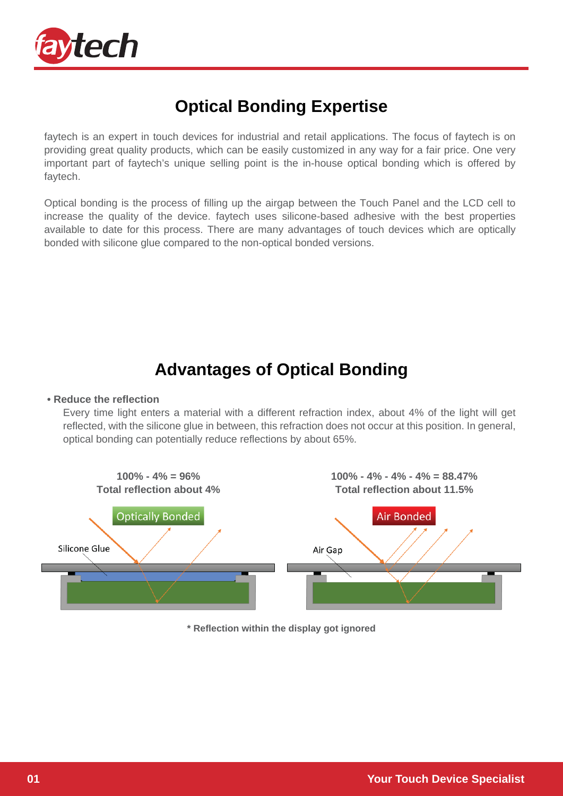

# **Optical Bonding Expertise**

faytech is an expert in touch devices for industrial and retail applications. The focus of faytech is on providing great quality products, which can be easily customized in any way for a fair price. One very important part of faytech's unique selling point is the in-house optical bonding which is offered by faytech.

Optical bonding is the process of filling up the airgap between the Touch Panel and the LCD cell to increase the quality of the device. faytech uses silicone-based adhesive with the best properties available to date for this process. There are many advantages of touch devices which are optically bonded with silicone glue compared to the non-optical bonded versions.

### **Advantages of Optical Bonding**

#### **• Reduce the reflection**

Every time light enters a material with a different refraction index, about 4% of the light will get reflected, with the silicone glue in between, this refraction does not occur at this position. In general, optical bonding can potentially reduce reflections by about 65%.



**\* Reflection within the display got ignored**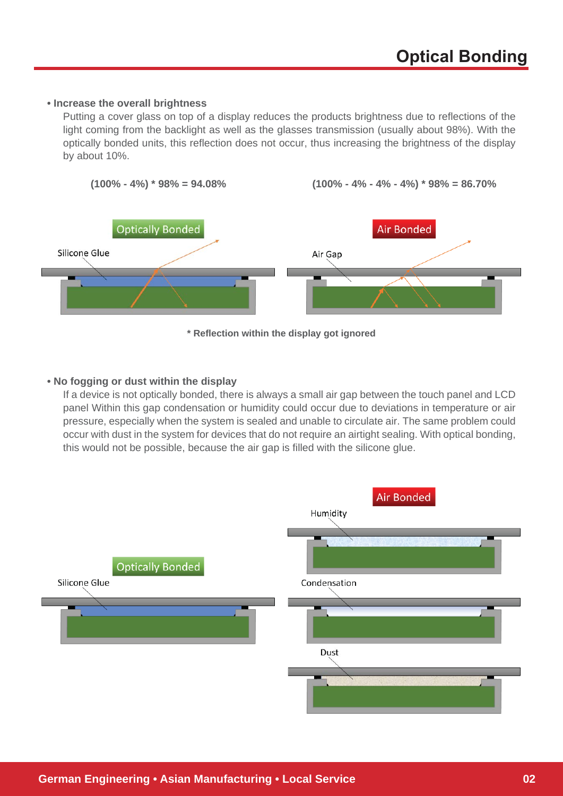#### **• Increase the overall brightness**

Putting a cover glass on top of a display reduces the products brightness due to reflections of the light coming from the backlight as well as the glasses transmission (usually about 98%). With the optically bonded units, this reflection does not occur, thus increasing the brightness of the display by about 10%.



#### **\* Reflection within the display got ignored**

#### **• No fogging or dust within the display**

If a device is not optically bonded, there is always a small air gap between the touch panel and LCD panel Within this gap condensation or humidity could occur due to deviations in temperature or air pressure, especially when the system is sealed and unable to circulate air. The same problem could occur with dust in the system for devices that do not require an airtight sealing. With optical bonding, this would not be possible, because the air gap is filled with the silicone glue.